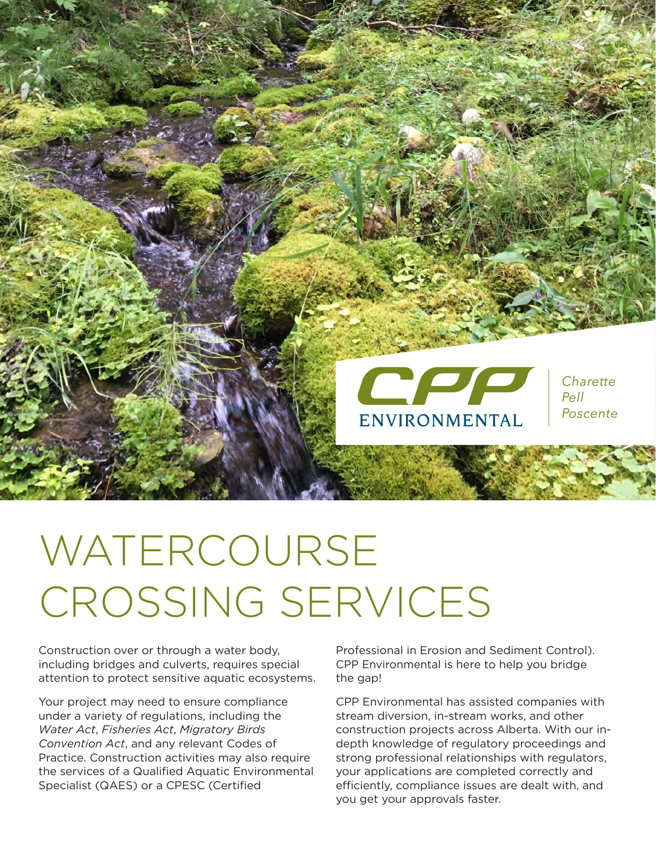

# WATERCOURSE CROSSING SERVICES

Construction over or through a water body, including bridges and culverts, requires special attention to protect sensitive aquatic ecosystems.

Your project may need to ensure compliance under a variety of regulations, including the *Water Act*, *Fisheries Act*, *Migratory Birds Convention Act*, and any relevant Codes of Practice. Construction activities may also require the services of a Qualified Aquatic Environmental Specialist (QAES) or a CPESC (Certified

Professional in Erosion and Sediment Control). CPP Environmental is here to help you bridge the gap!

CPP Environmental has assisted companies with stream diversion, in-stream works, and other construction projects across Alberta. With our indepth knowledge of regulatory proceedings and strong professional relationships with regulators, your applications are completed correctly and efficiently, compliance issues are dealt with, and you get your approvals faster.